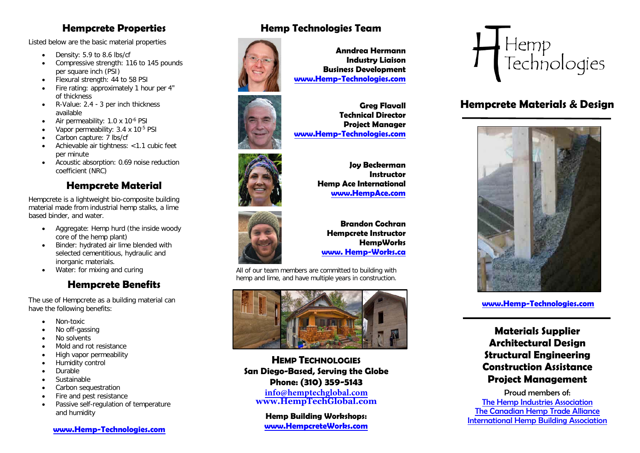## **Hempcrete Properties**

Listed below are the basic material properties

- Density: 5.9 to 8.6 lbs/cf
- Compressive strength: 116 to 145 pounds per square inch (PSI)
- Flexural strength: 44 to 58 PSI
- Fire rating: approximately 1 hour per 4" of thickness
- R-Value: 2.4 - 3 per inch thickness available
- Air permeability: 1.0 x 10-6 PSI
- Vapor permeability: 3.4 x 10<sup>-5</sup> PSI
- Carbon capture: 7 lbs/cf
- Achievable air tightness: <1.1 cubic feet per minute
- Acoustic absorption: 0.69 noise reduction coefficient (NRC)

# **Hempcrete Material**

Hempcrete is a lightweight bio-composite building material made from industrial hemp stalks, a lime based binder, and water.

- Aggregate: Hemp hurd (the inside woody core of the hemp plant)
- Binder: hydrated air lime blended with selected cementitious, hydraulic and inorganic materials.
- Water: for mixing and curing

# **Hempcrete Benefits**

The use of Hempcrete as a building material can have the following benefits:

- Non-toxic
- No off-gassing
- No solvents
- Mold and rot resistance
- High vapor permeability
- Humidity control
- Durable
- Sustainable
- Carbon sequestration
- Fire and pest resistance
- Passive self-regulation of temperature and humidity

#### **[www.Hemp-Technologies.com](http://www.hemp-technologies.com/)**

# **Hemp Technologies Team**



**Anndrea Hermann Industry Liaison Business Development [www.Hemp-Technologies.com](http://www.hemp-technologies.com/)**



### **Greg Flavall Technical Director Project Manager [www.Hemp-Technologies.com](http://www.hemp-technologies.com/)**

**Joy Beckerman Instructor Hemp Ace International [www.HempAce.com](http://www.hempace.com/)**



### **Brandon Cochran Hempcrete Instructor HempWorks [www. Hemp-Works.ca](http://www.alembicstudio.com/)**

All of our team members are committed to building with hemp and lime, and have multiple years in construction.



**HEMP TECHNOLOGIES San Diego-Based, Serving the Globe Phone: (310) 359-5143**

**i[nfo@hemptechglobal.com](mailto:info@htglobalinc.com) [www.HempTechGlobal.com](http://www.hemp-technologies.com/)**

**Hemp Building Workshops: [www.HempcreteWorks.com](http://www.hempcreteworks.com/)**



# **Hempcrete Materials & Design**



### **[www.Hemp-Technologies.com](http://www.hemp-technologies.com/)**

**Materials Supplier Architectural Design Structural Engineering Construction Assistance Project Management**

Proud members of: [The Hemp Industries Association](http://www.thehia.org/) [The Canadian Hemp Trade Alliance](http://www.hemptrade.ca/) [International Hemp Building Association](http://www.internationalhempbuilding.org/home/)